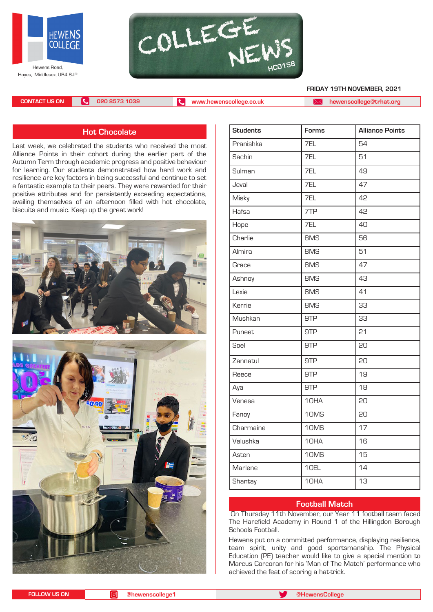



 **FRIDAY 19TH NOVEMBER, 2021**

**CONTACT US ON 020 8573 1039 [www.hewenscollege.co.uk](http://www.hewenscollege.co.uk) [hewenscollege@trhat.org](mailto:hewenscollege@trhat.org)**

## **Hot Chocolate**

Last week, we celebrated the students who received the most Alliance Points in their cohort during the earlier part of the Autumn Term through academic progress and positive behaviour for learning. Our students demonstrated how hard work and resilience are key factors in being successful and continue to set a fantastic example to their peers. They were rewarded for their positive attributes and for persistently exceeding expectations, availing themselves of an afternoon filled with hot chocolate, biscuits and music. Keep up the great work!





| <b>Students</b> | Forms | <b>Alliance Points</b> |
|-----------------|-------|------------------------|
| Pranishka       | 7EL   | 54                     |
| Sachin          | 7EL   | 51                     |
| Sulman          | 7EL   | 49                     |
| Jeval           | 7EL   | 47                     |
| Misky           | 7EL   | 42                     |
| Hafsa           | 7TP   | 42                     |
| Hope            | 7EL   | 40                     |
| Charlie         | 8MS   | 56                     |
| Almira          | 8MS   | 51                     |
| Grace           | 8MS   | 47                     |
| Ashnoy          | 8MS   | 43                     |
| Lexie           | 8MS   | 41                     |
| Kerrie          | 8MS   | 33                     |
| Mushkan         | 9TP   | 33                     |
| Puneet          | 9TP   | 21                     |
| Soel            | 9TP   | 20                     |
| Zannatul        | 9TP   | 20                     |
| Reece           | 9TP   | 19                     |
| Aya             | 9TP   | 18                     |
| Venesa          | 10HA  | 20                     |
| Fanoy           | 10MS  | 20                     |
| Charmaine       | 10MS  | 17                     |
| Valushka        | 10HA  | 16                     |
| Asten           | 10MS  | 15                     |
| Marlene         | 10EL  | 14                     |
| Shantay         | 10HA  | 13                     |

## **Football Match**

 On Thursday 11th November, our Year 11 football team faced The Harefield Academy in Round 1 of the Hillingdon Borough Schools Football.

Hewens put on a committed performance, displaying resilience, team spirit, unity and good sportsmanship. The Physical Education (PE) teacher would like to give a special mention to Marcus Corcoran for his 'Man of The Match' performance who achieved the feat of scoring a hat-trick.